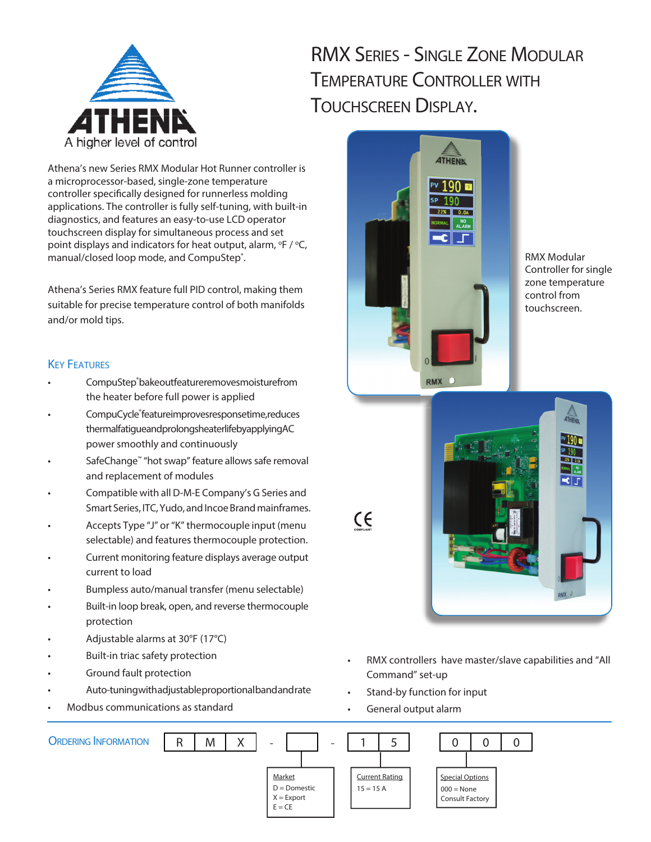

# RMX SERIES - SINGLE ZONE MODULAR TEMPERATURE CONTROLLER WITH TOUCHSCREEN DISPLAY.

Athena's new Series RMX Modular Hot Runner controller is a microprocessor-based, single-zone temperature controller specifically designed for runnerless molding applications. The controller is fully self-tuning, with built-in diagnostics, and features an easy-to-use LCD operator touchscreen display for simultaneous process and set point displays and indicators for heat output, alarm,  ${}^{\circ}$ F / ${}^{\circ}$ C, manual/closed loop mode, and CompuStep<sup>®</sup>.

Athena's Series RMX feature full PID control, making them suitable for precise temperature control of both manifolds and/or mold tips.

#### **KEY FEATURES**

- CompuStep®bakeoutfeatureremovesmoisturefrom the heater before full power is applied
- CompuCycle® feature improves response time, reduces thermal fatigue and prolongs heater life by applying AC power smoothly and continuously
- SafeChange™ "hot swap" feature allows safe removal and replacement of modules
- Compatible with all D-M-E Company's G Series and Smart Series, ITC, Yudo, and Incoe Brand mainframes.
- Accepts Type "J" or "K" thermocouple input (menu selectable) and features thermocouple protection.
- Current monitoring feature displays average output current to load
- Bumpless auto/manual transfer (menu selectable)
- Built-in loop break, open, and reverse thermocouple protection
- Adjustable alarms at 30°F (17°C)
- Built-in triac safety protection
- Ground fault protection
- Auto-tuning with adjustable proportional band and rate
- Modbus communications as standard



RMX Modular Controller for single zone temperature control from touchscreen.



- RMX controllers have master/slave capabilities and "All Command" set-up
- Stand-by function for input
- General output alarm

 $\epsilon$